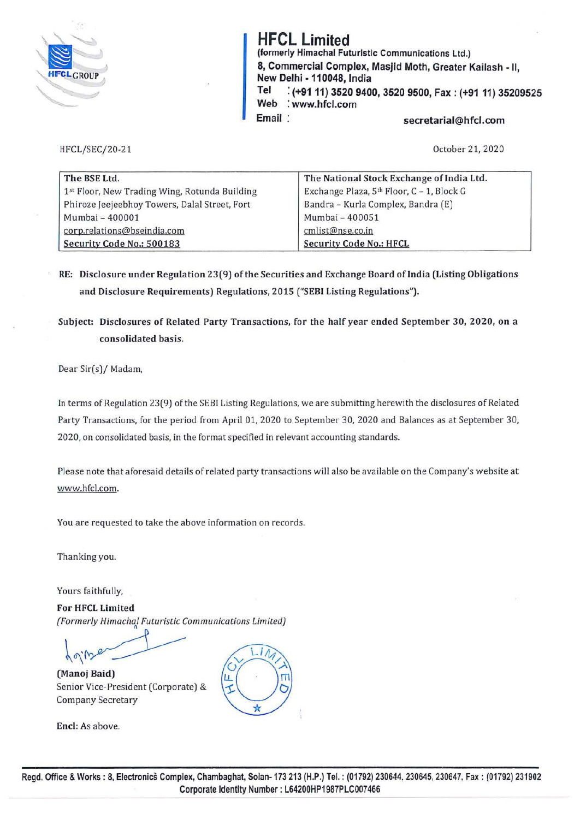

## **HFCL Limited**

**(formerly Himachal Futuristic Communications** Ltd.) **8, Commercial Complex, Masjid Moth, Greater** Kailash - II, **New Delhi** • **110048, India Tel** : **(+9111) 3520 9400, 3520 9500, Fax: (+9111) 35209525 Web** : **www.hfcl.com**  Email: **Email** secretarial@hfcl.com

HFCL/SEC/20-21

October 21, 2020

| The BSE Ltd.                                  | The National Stock Exchange of India Ltd. |
|-----------------------------------------------|-------------------------------------------|
| 1st Floor, New Trading Wing, Rotunda Building | Exchange Plaza, 5th Floor, C - 1, Block G |
| Phiroze Jeejeebhoy Towers, Dalal Street, Fort | Bandra - Kurla Complex, Bandra (E)        |
| Mumbai - 400001                               | Mumbai - 400051                           |
| corp.relations@bseindia.com                   | cmlist@nse.co.in                          |
| Security Code No.: 500183                     | <b>Security Code No.: HFCL</b>            |

- **RE: Disclosure under Regulation 23(9) of the Securities and Exchange Board of India (Listing Obligations and Disclosure Requirements) Regulations, 2015 ("SEBI Listing Regulations").**
- **Subject: Disclosures of Related Party Transactions, for the half year ended September 30, 2020, on a consolidated basis.**

Dear Sir(s)/ Madam,

In terms of Regulation 23(9) of the SEBI Listing Regulations, we are submitting herewith the disclosures of Related Party Transactions, for the period from April 01, 2020 to September 30, 2020 and Balances as at September 30, 2020, on consolidated basis, in the format specified in relevant accounting standards.

Please note that aforesaid details of related party transactions will also be available on the Company's website at www.hfcl.com.

You are requested to take the above information on records.

Thanking you.

Yours faithfully,

**For HFCL Limited**  *(Formerly Himachal Futuristic Communications Limited)* 

Ц.

 $\sqrt{9}$ 

**(Manoj Baid)**  Senior Vice-President (Corporate) & Company Secretary

**Encl:** As above.



 $\overline{\mathbf{u}}$